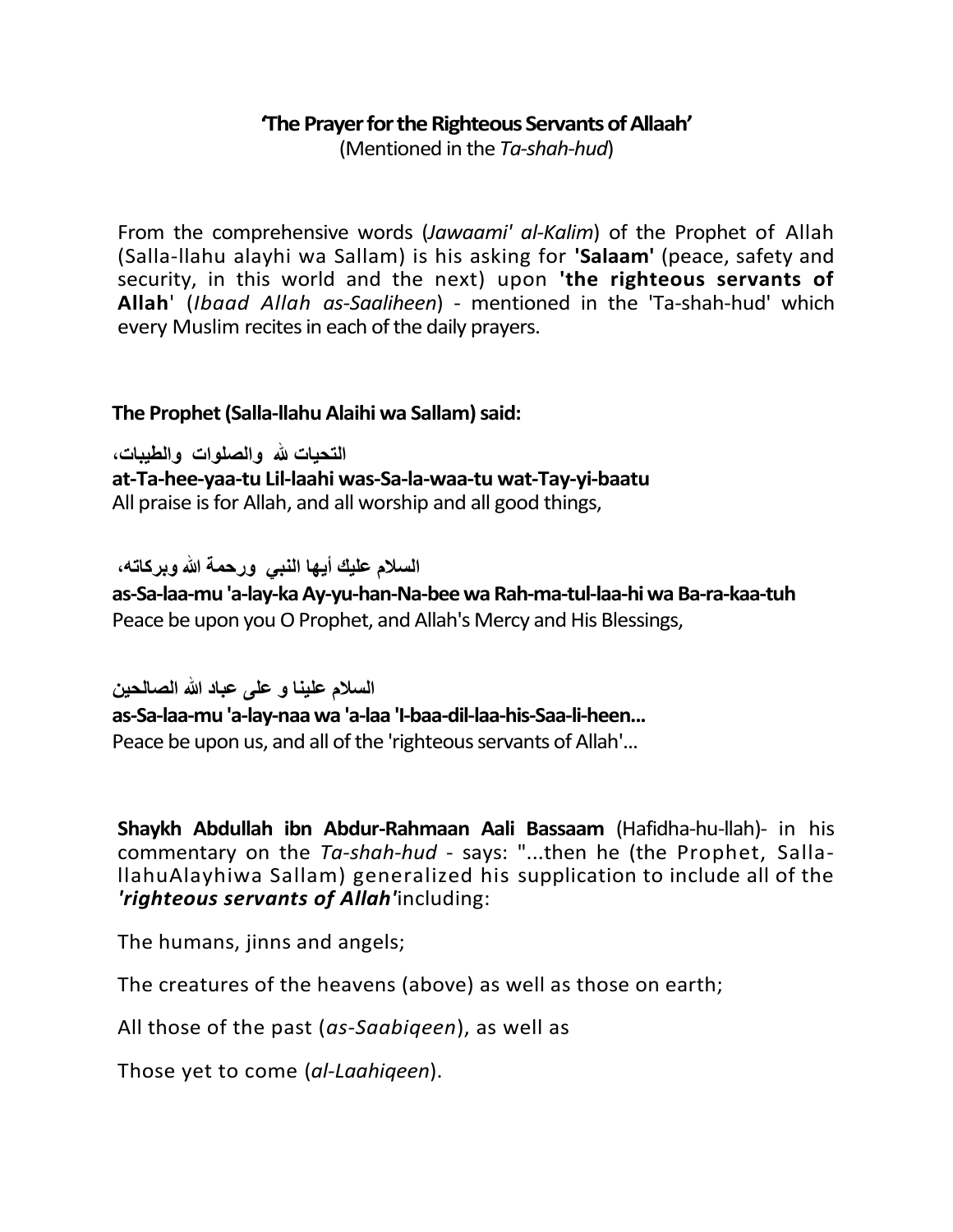### **The Prayer for the Righteous Servants of Allaah'**

(Mentioned in the *Ta-shah-hud*)

From the comprehensive words (*Jawaami' al-Kalim*) of the Prophet of Allah (Salla-llahu alayhi wa Sallam) is his asking for **'Salaam'** (peace, safety and security, in this world and the next) upon **'the righteous servants of Allah**' (*Ibaad Allah as-Saaliheen*) - mentioned in the 'Ta-shah-hud' which every Muslim recites in each of the daily prayers.

#### **The Prophet (Salla-llahu Alaihi wa Sallam) said:**

**التحيات هلل والصلىات والطيبات، at-Ta-hee-yaa-tu Lil-laahi was-Sa-la-waa-tu wat-Tay-yi-baatu** All praise is for Allah, and all worship and all good things,

 **السالم عليك أيها النبي ورحمة هللا وبركاته،** 

**as-Sa-laa-mu 'a-lay-ka Ay-yu-han-Na-bee wa Rah-ma-tul-laa-hi wa Ba-ra-kaa-tuh** Peace be upon you O Prophet, and Allah's Mercy and His Blessings,

**السالم علينا و على عباد هللا الصالحين as-Sa-laa-mu 'a-lay-naa wa 'a-laa 'I-baa-dil-laa-his-Saa-li-heen...** Peace be upon us, and all of the 'righteous servants of Allah'...

**Shaykh Abdullah ibn Abdur-Rahmaan Aali Bassaam** (Hafidha-hu-llah)- in his commentary on the *Ta-shah-hud* - says: "...then he (the Prophet, SallallahuAlayhiwa Sallam) generalized his supplication to include all of the *'righteous servants of Allah'*including:

The humans, jinns and angels;

The creatures of the heavens (above) as well as those on earth;

All those of the past (*as-Saabiqeen*), as well as

Those yet to come (*al-Laahiqeen*).